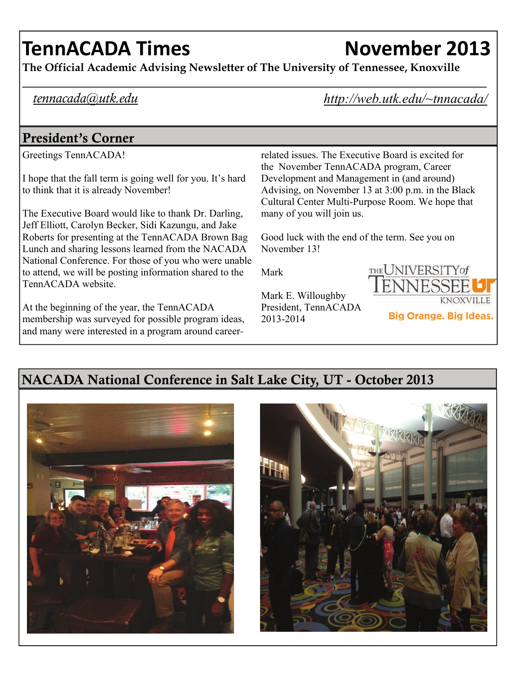# **TennACADA Times November 2013**

**The Official Academic Advising Newsletter of The University of Tennessee, Knoxville** 

### *tennacada@utk.edu*

*http://web.utk.edu/~tnnacada/* 

### President's Corner

Greetings TennACADA!

I hope that the fall term is going well for you. It's hard to think that it is already November!

The Executive Board would like to thank Dr. Darling, Jeff Elliott, Carolyn Becker, Sidi Kazungu, and Jake Roberts for presenting at the TennACADA Brown Bag Lunch and sharing lessons learned from the NACADA National Conference. For those of you who were unable to attend, we will be posting information shared to the TennACADA website.

At the beginning of the year, the TennACADA membership was surveyed for possible program ideas, and many were interested in a program around careerrelated issues. The Executive Board is excited for the November TennACADA program, Career Development and Management in (and around) Advising, on November 13 at 3:00 p.m. in the Black Cultural Center Multi-Purpose Room. We hope that many of you will join us.

Good luck with the end of the term. See you on November 13!

Mark



Mark E. Willoughby President, TennACADA 2013-2014



### NACADA National Conference in Salt Lake City, UT - October 2013



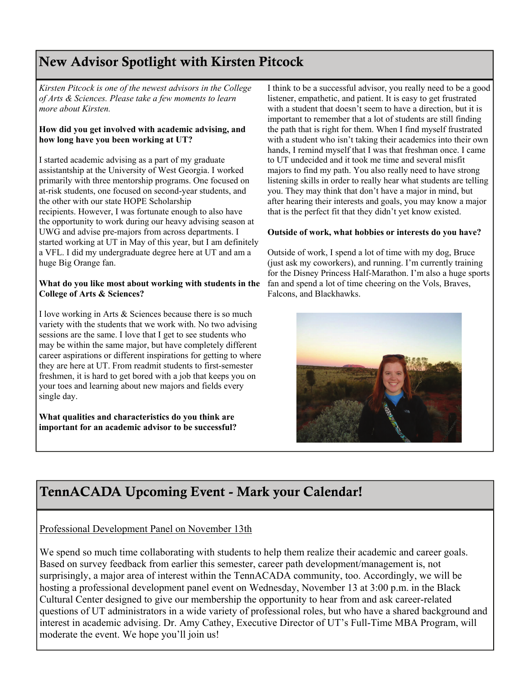### New Advisor Spotlight with Kirsten Pitcock

*Kirsten Pitcock is one of the newest advisors in the College of Arts & Sciences. Please take a few moments to learn more about Kirsten.* 

#### **How did you get involved with academic advising, and how long have you been working at UT?**

I started academic advising as a part of my graduate assistantship at the University of West Georgia. I worked primarily with three mentorship programs. One focused on at-risk students, one focused on second-year students, and the other with our state HOPE Scholarship recipients. However, I was fortunate enough to also have the opportunity to work during our heavy advising season at UWG and advise pre-majors from across departments. I started working at UT in May of this year, but I am definitely a VFL. I did my undergraduate degree here at UT and am a huge Big Orange fan.

#### **What do you like most about working with students in the College of Arts & Sciences?**

I love working in Arts & Sciences because there is so much variety with the students that we work with. No two advising sessions are the same. I love that I get to see students who may be within the same major, but have completely different career aspirations or different inspirations for getting to where they are here at UT. From readmit students to first-semester freshmen, it is hard to get bored with a job that keeps you on your toes and learning about new majors and fields every single day.

**What qualities and characteristics do you think are important for an academic advisor to be successful?**  I think to be a successful advisor, you really need to be a good listener, empathetic, and patient. It is easy to get frustrated with a student that doesn't seem to have a direction, but it is important to remember that a lot of students are still finding the path that is right for them. When I find myself frustrated with a student who isn't taking their academics into their own hands, I remind myself that I was that freshman once. I came to UT undecided and it took me time and several misfit majors to find my path. You also really need to have strong listening skills in order to really hear what students are telling you. They may think that don't have a major in mind, but after hearing their interests and goals, you may know a major that is the perfect fit that they didn't yet know existed.

#### **Outside of work, what hobbies or interests do you have?**

Outside of work, I spend a lot of time with my dog, Bruce (just ask my coworkers), and running. I'm currently training for the Disney Princess Half-Marathon. I'm also a huge sports fan and spend a lot of time cheering on the Vols, Braves, Falcons, and Blackhawks.



### TennACADA Upcoming Event - Mark your Calendar!

#### Professional Development Panel on November 13th

We spend so much time collaborating with students to help them realize their academic and career goals. Based on survey feedback from earlier this semester, career path development/management is, not surprisingly, a major area of interest within the TennACADA community, too. Accordingly, we will be hosting a professional development panel event on Wednesday, November 13 at 3:00 p.m. in the Black Cultural Center designed to give our membership the opportunity to hear from and ask career-related questions of UT administrators in a wide variety of professional roles, but who have a shared background and interest in academic advising. Dr. Amy Cathey, Executive Director of UT's Full-Time MBA Program, will moderate the event. We hope you'll join us!